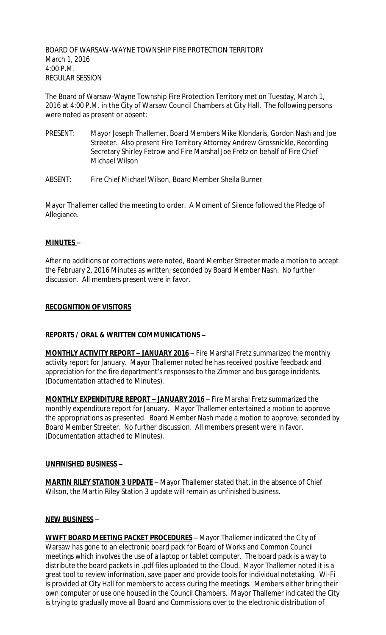BOARD OF WARSAW-WAYNE TOWNSHIP FIRE PROTECTION TERRITORY March 1, 2016 4:00 P.M. REGULAR SESSION

The Board of Warsaw-Wayne Township Fire Protection Territory met on Tuesday, March 1, 2016 at 4:00 P.M. in the City of Warsaw Council Chambers at City Hall. The following persons were noted as present or absent:

- PRESENT: Mayor Joseph Thallemer, Board Members Mike Klondaris, Gordon Nash and Joe Streeter. Also present Fire Territory Attorney Andrew Grossnickle, Recording Secretary Shirley Fetrow and Fire Marshal Joe Fretz on behalf of Fire Chief Michael Wilson
- ABSENT: Fire Chief Michael Wilson, Board Member Sheila Burner

Mayor Thallemer called the meeting to order. A Moment of Silence followed the Pledge of Allegiance.

# **MINUTES –**

After no additions or corrections were noted, Board Member Streeter made a motion to accept the February 2, 2016 Minutes as written; seconded by Board Member Nash. No further discussion. All members present were in favor.

## **RECOGNITION OF VISITORS**

## **REPORTS / ORAL & WRITTEN COMMUNICATIONS –**

**MONTHLY ACTIVITY REPORT – JANUARY 2016** – Fire Marshal Fretz summarized the monthly activity report for January. Mayor Thallemer noted he has received positive feedback and appreciation for the fire department's responses to the Zimmer and bus garage incidents. (Documentation attached to Minutes).

**MONTHLY EXPENDITURE REPORT – JANUARY 2016** – Fire Marshal Fretz summarized the monthly expenditure report for January. Mayor Thallemer entertained a motion to approve the appropriations as presented. Board Member Nash made a motion to approve; seconded by Board Member Streeter. No further discussion. All members present were in favor. (Documentation attached to Minutes).

## **UNFINISHED BUSINESS –**

**MARTIN RILEY STATION 3 UPDATE** – Mayor Thallemer stated that, in the absence of Chief Wilson, the Martin Riley Station 3 update will remain as unfinished business.

## **NEW BUSINESS –**

**WWFT BOARD MEETING PACKET PROCEDURES** – Mayor Thallemer indicated the City of Warsaw has gone to an electronic board pack for Board of Works and Common Council meetings which involves the use of a laptop or tablet computer. The board pack is a way to distribute the board packets in .pdf files uploaded to the Cloud. Mayor Thallemer noted it is a great tool to review information, save paper and provide tools for individual notetaking. Wi-Fi is provided at City Hall for members to access during the meetings. Members either bring their own computer or use one housed in the Council Chambers. Mayor Thallemer indicated the City is trying to gradually move all Board and Commissions over to the electronic distribution of